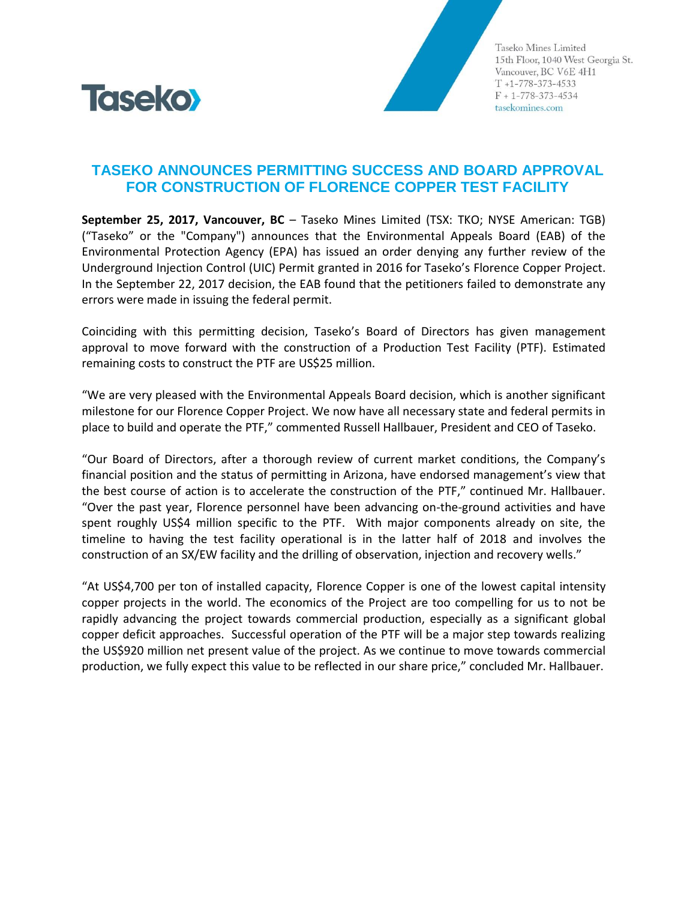

Taseko Mines Limited 15th Floor, 1040 West Georgia St. Vancouver, BC V6E 4H1  $T + 1 - 778 - 373 - 4533$  $F + 1 - 778 - 373 - 4534$ tasekomines.com

## **TASEKO ANNOUNCES PERMITTING SUCCESS AND BOARD APPROVAL FOR CONSTRUCTION OF FLORENCE COPPER TEST FACILITY**

**September 25, 2017, Vancouver, BC** – Taseko Mines Limited (TSX: TKO; NYSE American: TGB) ("Taseko" or the "Company") announces that the Environmental Appeals Board (EAB) of the Environmental Protection Agency (EPA) has issued an order denying any further review of the Underground Injection Control (UIC) Permit granted in 2016 for Taseko's Florence Copper Project. In the September 22, 2017 decision, the EAB found that the petitioners failed to demonstrate any errors were made in issuing the federal permit.

Coinciding with this permitting decision, Taseko's Board of Directors has given management approval to move forward with the construction of a Production Test Facility (PTF). Estimated remaining costs to construct the PTF are US\$25 million.

"We are very pleased with the Environmental Appeals Board decision, which is another significant milestone for our Florence Copper Project. We now have all necessary state and federal permits in place to build and operate the PTF," commented Russell Hallbauer, President and CEO of Taseko.

"Our Board of Directors, after a thorough review of current market conditions, the Company's financial position and the status of permitting in Arizona, have endorsed management's view that the best course of action is to accelerate the construction of the PTF," continued Mr. Hallbauer. "Over the past year, Florence personnel have been advancing on-the-ground activities and have spent roughly US\$4 million specific to the PTF. With major components already on site, the timeline to having the test facility operational is in the latter half of 2018 and involves the construction of an SX/EW facility and the drilling of observation, injection and recovery wells."

"At US\$4,700 per ton of installed capacity, Florence Copper is one of the lowest capital intensity copper projects in the world. The economics of the Project are too compelling for us to not be rapidly advancing the project towards commercial production, especially as a significant global copper deficit approaches. Successful operation of the PTF will be a major step towards realizing the US\$920 million net present value of the project. As we continue to move towards commercial production, we fully expect this value to be reflected in our share price," concluded Mr. Hallbauer.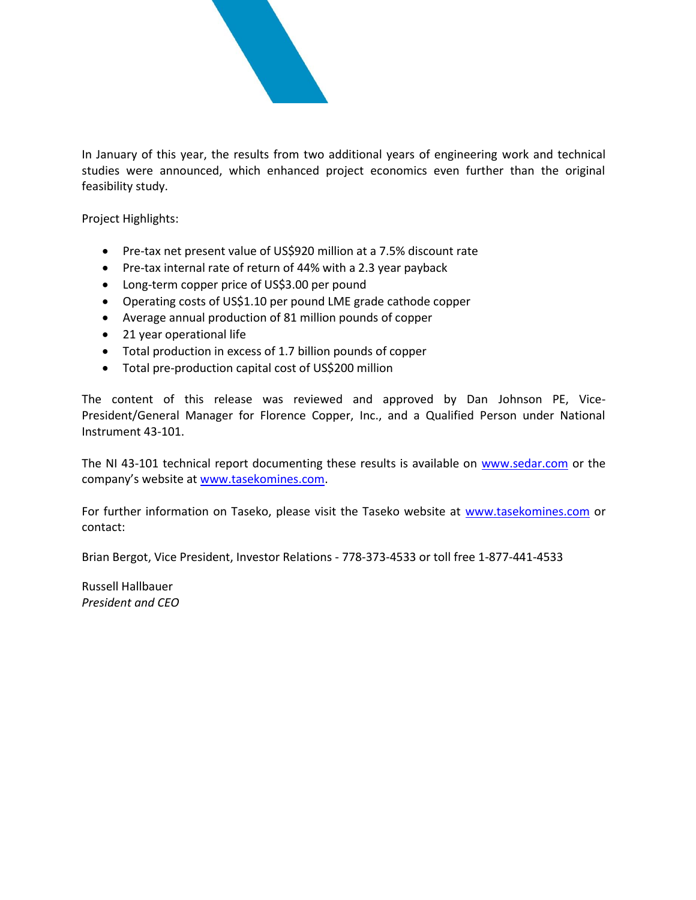

In January of this year, the results from two additional years of engineering work and technical studies were announced, which enhanced project economics even further than the original feasibility study.

Project Highlights:

- Pre-tax net present value of US\$920 million at a 7.5% discount rate
- Pre-tax internal rate of return of 44% with a 2.3 year payback
- Long-term copper price of US\$3.00 per pound
- Operating costs of US\$1.10 per pound LME grade cathode copper
- Average annual production of 81 million pounds of copper
- 21 year operational life
- Total production in excess of 1.7 billion pounds of copper
- Total pre-production capital cost of US\$200 million

The content of this release was reviewed and approved by Dan Johnson PE, Vice-President/General Manager for Florence Copper, Inc., and a Qualified Person under National Instrument 43-101.

The NI 43-101 technical report documenting these results is available on [www.sedar.com](http://www.sedar.com/) or the company's website at [www.tasekomines.com.](http://www.tasekomines.com/)

For further information on Taseko, please visit the Taseko website at [www.tasekomines.com](http://www.tasekomines.com/) or contact:

Brian Bergot, Vice President, Investor Relations - 778-373-4533 or toll free 1-877-441-4533

Russell Hallbauer *President and CEO*